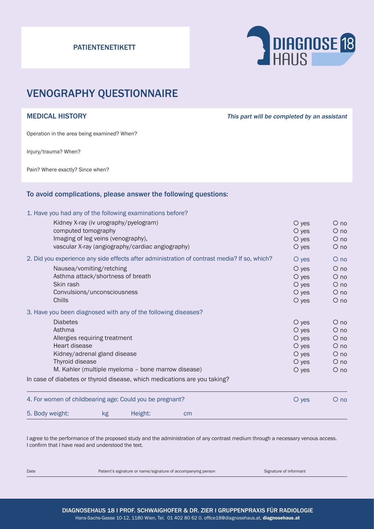# PATIENTENETIKETT



# VENOGRAPHY QUESTIONNAIRE

MEDICAL HISTORY **This part will be completed by an assistant** 

Operation in the area being examined? When?

Injury/trauma? When?

Pain? Where exactly? Since when?

# To avoid complications, please answer the following questions:

### 1. Have you had any of the following examinations before?

| 5. Body weight:                                                                              |                                                                | kg | Height:                               | cm                                                                        |             |            |
|----------------------------------------------------------------------------------------------|----------------------------------------------------------------|----|---------------------------------------|---------------------------------------------------------------------------|-------------|------------|
| 4. For women of childbearing age: Could you be pregnant?                                     |                                                                |    |                                       |                                                                           | O yes       | $O$ no     |
|                                                                                              |                                                                |    |                                       | In case of diabetes or thyroid disease, which medications are you taking? |             |            |
|                                                                                              | M. Kahler (multiple myeloma - bone marrow disease)             |    |                                       |                                                                           | $\circ$ yes | $\circ$ no |
|                                                                                              | Thyroid disease                                                |    |                                       |                                                                           | $O$ yes     | $\circ$ no |
|                                                                                              | Kidney/adrenal gland disease                                   |    |                                       |                                                                           | $\circ$ yes | $\circ$ no |
|                                                                                              | Heart disease                                                  |    |                                       |                                                                           | $O$ yes     | $\circ$ no |
|                                                                                              | Allergies requiring treatment                                  |    |                                       |                                                                           | $O$ yes     | $\circ$ no |
|                                                                                              | Asthma                                                         |    |                                       |                                                                           | $O$ yes     | $O$ no     |
|                                                                                              | <b>Diabetes</b>                                                |    |                                       |                                                                           | $\circ$ yes | $O$ no     |
|                                                                                              | 3. Have you been diagnosed with any of the following diseases? |    |                                       |                                                                           |             |            |
|                                                                                              | Chills                                                         |    |                                       |                                                                           | $\circ$ yes | $\circ$ no |
|                                                                                              | Convulsions/unconsciousness                                    |    |                                       |                                                                           | $\circ$ yes | $\circ$ no |
|                                                                                              | Skin rash                                                      |    |                                       |                                                                           | $O$ yes     | $\circ$ no |
|                                                                                              | Asthma attack/shortness of breath                              |    |                                       |                                                                           | $O$ yes     | $\circ$ no |
|                                                                                              | Nausea/vomiting/retching                                       |    |                                       |                                                                           | $\circ$ yes | $O$ no     |
| 2. Did you experience any side effects after administration of contrast media? If so, which? |                                                                |    |                                       |                                                                           | O yes       | $O$ no     |
|                                                                                              | vascular X-ray (angiography/cardiac angiography)               |    |                                       |                                                                           | $O$ yes     | $O$ no     |
|                                                                                              | Imaging of leg veins (venography),                             |    |                                       |                                                                           | $\circ$ yes | $\circ$ no |
|                                                                                              | computed tomography                                            |    |                                       |                                                                           | $O$ yes     | $O$ no     |
|                                                                                              |                                                                |    | Kidney X-ray (iv urography/pyelogram) |                                                                           | O yes       | $O$ no     |

I agree to the performance of the proposed study and the administration of any contrast medium through a necessary venous access. I confirm that I have read and understood the text.

Date **Patient's signature or name/signature of accompanying person** Signature of informant